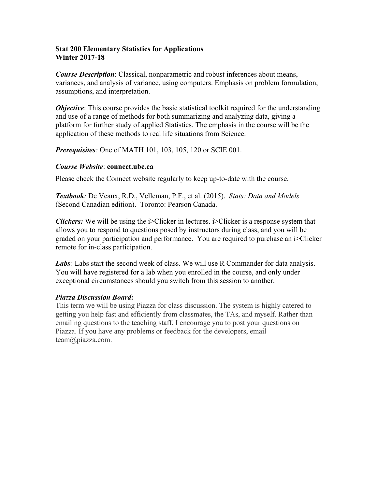### **Stat 200 Elementary Statistics for Applications Winter 2017-18**

*Course Description*: Classical, nonparametric and robust inferences about means, variances, and analysis of variance, using computers. Emphasis on problem formulation, assumptions, and interpretation.

*Objective*: This course provides the basic statistical toolkit required for the understanding and use of a range of methods for both summarizing and analyzing data, giving a platform for further study of applied Statistics. The emphasis in the course will be the application of these methods to real life situations from Science.

*Prerequisites:* One of MATH 101, 103, 105, 120 or SCIE 001.

### *Course Website*: **connect.ubc.ca**

Please check the Connect website regularly to keep up-to-date with the course.

*Textbook:* De Veaux, R.D., Velleman, P.F., et al. (2015). *Stats: Data and Models* (Second Canadian edition). Toronto: Pearson Canada.

*Clickers:* We will be using the i>Clicker in lectures. i>Clicker is a response system that allows you to respond to questions posed by instructors during class, and you will be graded on your participation and performance. You are required to purchase an i>Clicker remote for in-class participation.

Labs: Labs start the second week of class. We will use R Commander for data analysis. You will have registered for a lab when you enrolled in the course, and only under exceptional circumstances should you switch from this session to another.

## *Piazza Discussion Board:*

This term we will be using Piazza for class discussion. The system is highly catered to getting you help fast and efficiently from classmates, the TAs, and myself. Rather than emailing questions to the teaching staff, I encourage you to post your questions on Piazza. If you have any problems or feedback for the developers, email team@piazza.com.